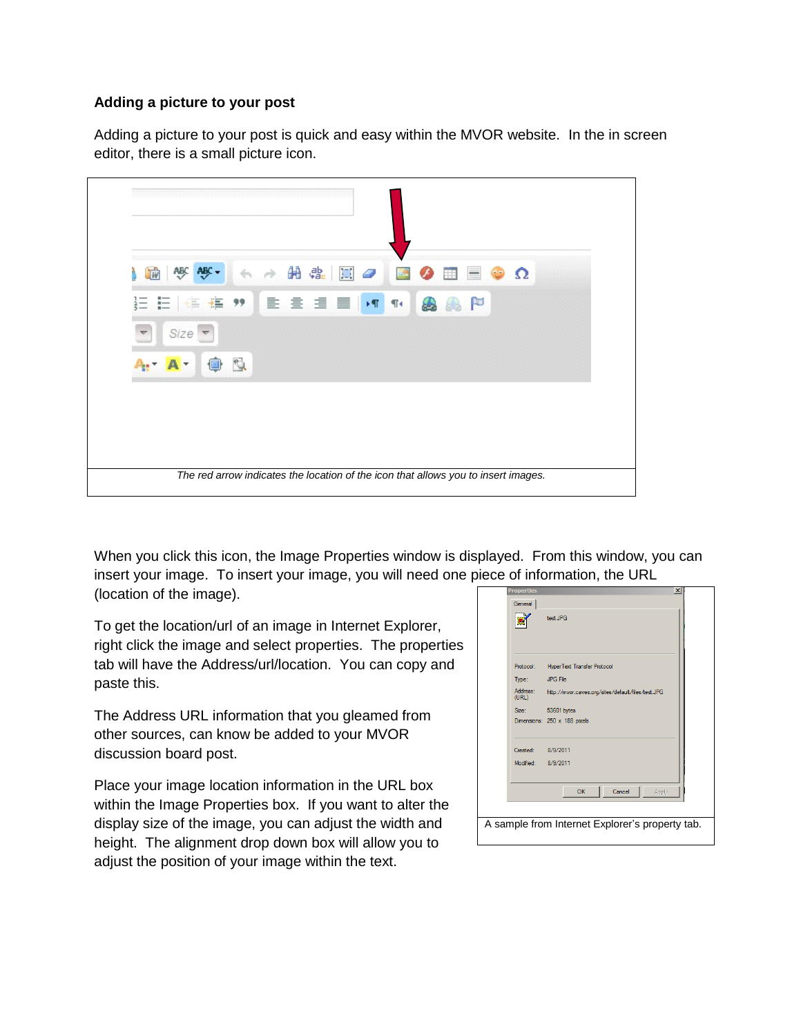## **Adding a picture to your post**

Adding a picture to your post is quick and easy within the MVOR website. In the in screen editor, there is a small picture icon.



When you click this icon, the Image Properties window is displayed. From this window, you can insert your image. To insert your image, you will need one piece of information, the URL (location of the image).

To get the location/url of an image in Internet Explorer, right click the image and select properties. The properties tab will have the Address/url/location. You can copy and paste this.

The Address URL information that you gleamed from other sources, can know be added to your MVOR discussion board post.

Place your image location information in the URL box within the Image Properties box. If you want to alter the display size of the image, you can adjust the width and height. The alignment drop down box will allow you to adjust the position of your image within the text.